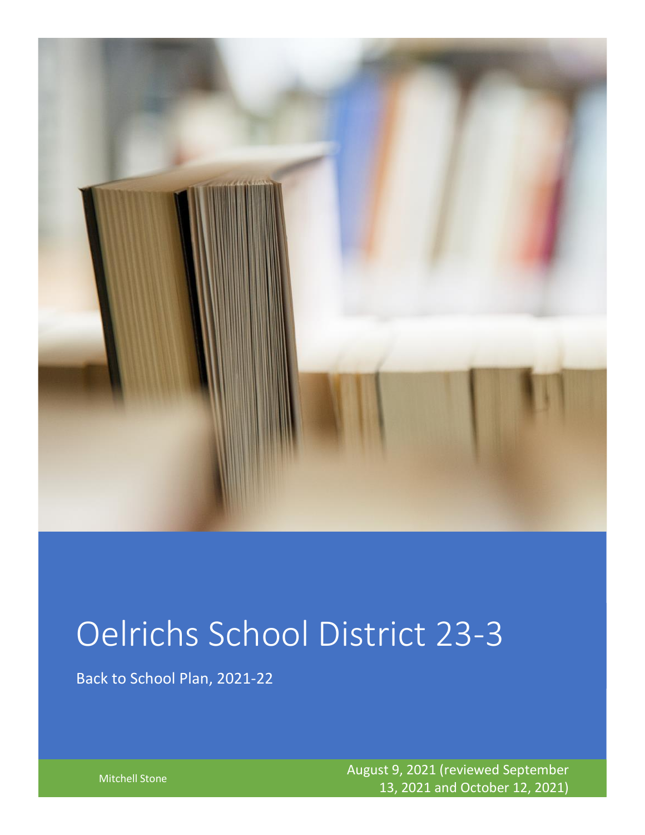

# Oelrichs School District 23-3

Back to School Plan, 2021-22

Mitchell Stone August 9, 2021 (reviewed September 13, 2021 and October 12, 2021)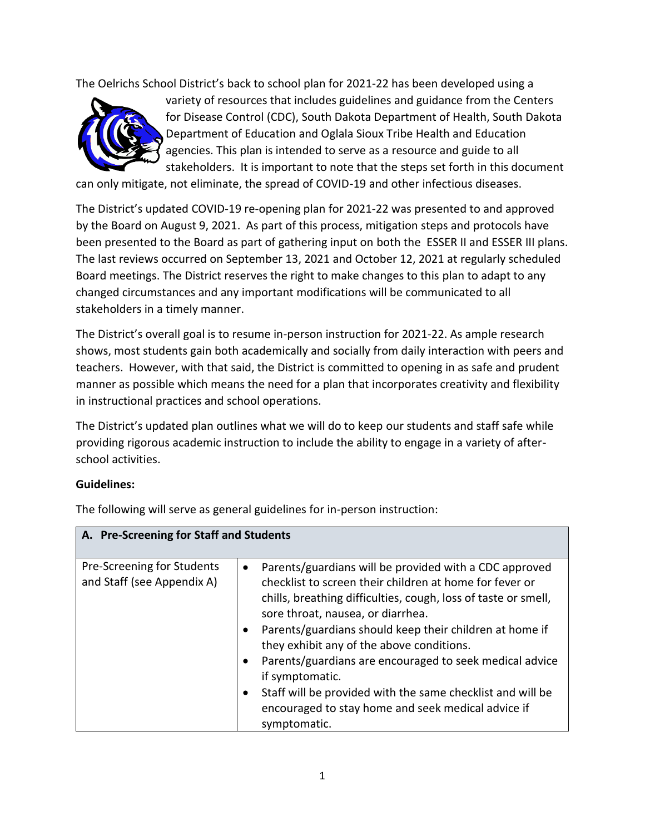The Oelrichs School District's back to school plan for 2021-22 has been developed using a



variety of resources that includes guidelines and guidance from the Centers for Disease Control (CDC), South Dakota Department of Health, South Dakota Department of Education and Oglala Sioux Tribe Health and Education agencies. This plan is intended to serve as a resource and guide to all stakeholders. It is important to note that the steps set forth in this document

can only mitigate, not eliminate, the spread of COVID-19 and other infectious diseases.

The District's updated COVID-19 re-opening plan for 2021-22 was presented to and approved by the Board on August 9, 2021. As part of this process, mitigation steps and protocols have been presented to the Board as part of gathering input on both the ESSER II and ESSER III plans. The last reviews occurred on September 13, 2021 and October 12, 2021 at regularly scheduled Board meetings. The District reserves the right to make changes to this plan to adapt to any changed circumstances and any important modifications will be communicated to all stakeholders in a timely manner.

The District's overall goal is to resume in-person instruction for 2021-22. As ample research shows, most students gain both academically and socially from daily interaction with peers and teachers. However, with that said, the District is committed to opening in as safe and prudent manner as possible which means the need for a plan that incorporates creativity and flexibility in instructional practices and school operations.

The District's updated plan outlines what we will do to keep our students and staff safe while providing rigorous academic instruction to include the ability to engage in a variety of afterschool activities.

#### **Guidelines:**

| A. Pre-Screening for Staff and Students                  |                                                                                                                                                                                                                                                                                                                                                                                                                                                                                                                                                                 |
|----------------------------------------------------------|-----------------------------------------------------------------------------------------------------------------------------------------------------------------------------------------------------------------------------------------------------------------------------------------------------------------------------------------------------------------------------------------------------------------------------------------------------------------------------------------------------------------------------------------------------------------|
| Pre-Screening for Students<br>and Staff (see Appendix A) | Parents/guardians will be provided with a CDC approved<br>$\bullet$<br>checklist to screen their children at home for fever or<br>chills, breathing difficulties, cough, loss of taste or smell,<br>sore throat, nausea, or diarrhea.<br>Parents/guardians should keep their children at home if<br>they exhibit any of the above conditions.<br>Parents/guardians are encouraged to seek medical advice<br>if symptomatic.<br>Staff will be provided with the same checklist and will be<br>encouraged to stay home and seek medical advice if<br>symptomatic. |

The following will serve as general guidelines for in-person instruction: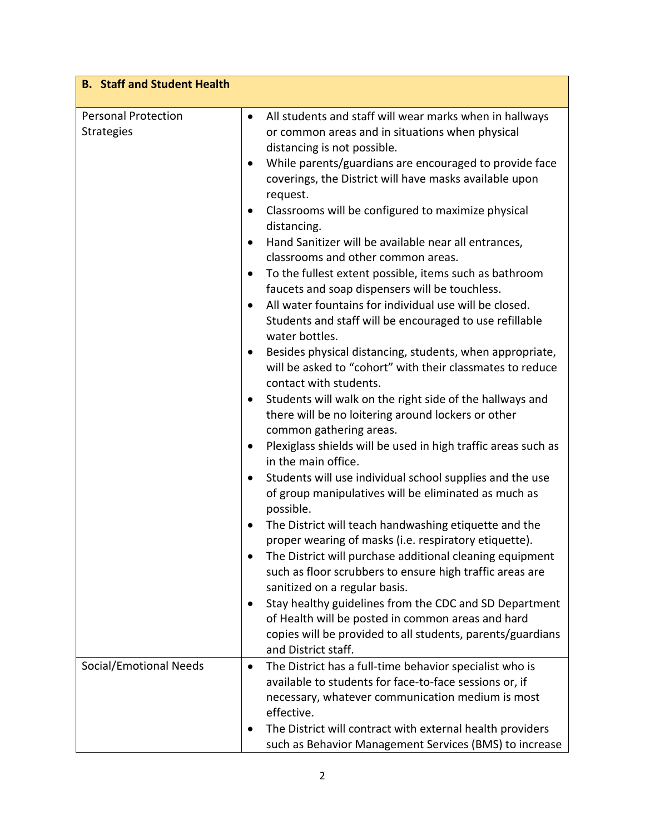| <b>B.</b> Staff and Student Health              |                                                                                                                                                                                                                                                                                                                                                                                                                                                                                                                                                                                                                                                                                                                      |
|-------------------------------------------------|----------------------------------------------------------------------------------------------------------------------------------------------------------------------------------------------------------------------------------------------------------------------------------------------------------------------------------------------------------------------------------------------------------------------------------------------------------------------------------------------------------------------------------------------------------------------------------------------------------------------------------------------------------------------------------------------------------------------|
| <b>Personal Protection</b><br><b>Strategies</b> | All students and staff will wear marks when in hallways<br>$\bullet$<br>or common areas and in situations when physical<br>distancing is not possible.<br>While parents/guardians are encouraged to provide face<br>$\bullet$<br>coverings, the District will have masks available upon<br>request.<br>Classrooms will be configured to maximize physical<br>$\bullet$<br>distancing.<br>Hand Sanitizer will be available near all entrances,<br>classrooms and other common areas.<br>To the fullest extent possible, items such as bathroom<br>faucets and soap dispensers will be touchless.<br>All water fountains for individual use will be closed.<br>Students and staff will be encouraged to use refillable |
|                                                 | water bottles.<br>Besides physical distancing, students, when appropriate,<br>$\bullet$<br>will be asked to "cohort" with their classmates to reduce<br>contact with students.<br>Students will walk on the right side of the hallways and<br>$\bullet$<br>there will be no loitering around lockers or other<br>common gathering areas.<br>Plexiglass shields will be used in high traffic areas such as<br>$\bullet$<br>in the main office.<br>Students will use individual school supplies and the use<br>$\bullet$<br>of group manipulatives will be eliminated as much as<br>possible.                                                                                                                          |
|                                                 | The District will teach handwashing etiquette and the<br>proper wearing of masks (i.e. respiratory etiquette).<br>The District will purchase additional cleaning equipment<br>such as floor scrubbers to ensure high traffic areas are<br>sanitized on a regular basis.<br>Stay healthy guidelines from the CDC and SD Department<br>of Health will be posted in common areas and hard<br>copies will be provided to all students, parents/guardians<br>and District staff.                                                                                                                                                                                                                                          |
| <b>Social/Emotional Needs</b>                   | The District has a full-time behavior specialist who is<br>$\bullet$<br>available to students for face-to-face sessions or, if<br>necessary, whatever communication medium is most<br>effective.<br>The District will contract with external health providers<br>such as Behavior Management Services (BMS) to increase                                                                                                                                                                                                                                                                                                                                                                                              |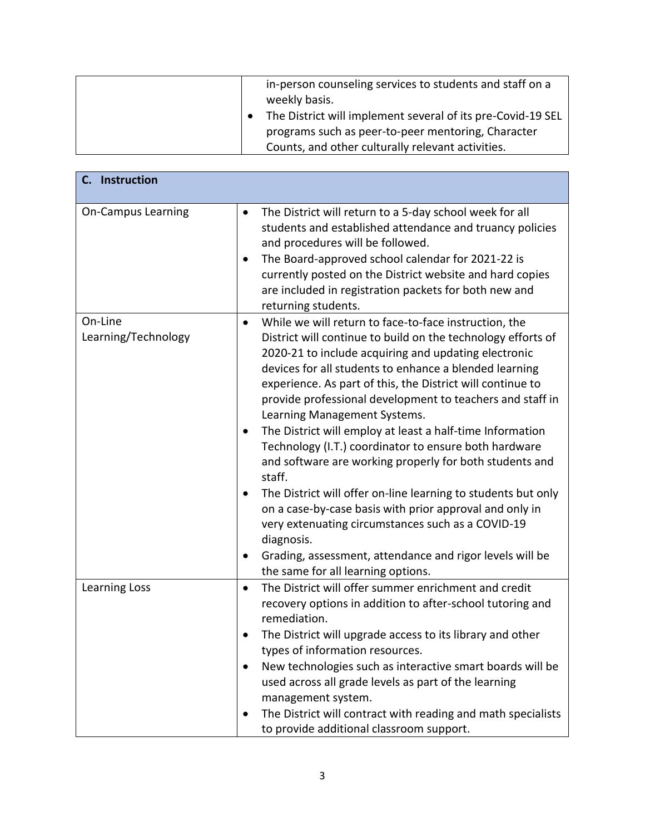| in-person counseling services to students and staff on a<br>weekly basis.<br>The District will implement several of its pre-Covid-19 SEL<br>programs such as peer-to-peer mentoring, Character |
|------------------------------------------------------------------------------------------------------------------------------------------------------------------------------------------------|
| Counts, and other culturally relevant activities.                                                                                                                                              |

| C. Instruction                 |                                                                                                                                                                                                                                                                                                                                                                                                                                                                                                                                                                                                                                                                                                                                                                                                                                                                                                                               |
|--------------------------------|-------------------------------------------------------------------------------------------------------------------------------------------------------------------------------------------------------------------------------------------------------------------------------------------------------------------------------------------------------------------------------------------------------------------------------------------------------------------------------------------------------------------------------------------------------------------------------------------------------------------------------------------------------------------------------------------------------------------------------------------------------------------------------------------------------------------------------------------------------------------------------------------------------------------------------|
| <b>On-Campus Learning</b>      | The District will return to a 5-day school week for all<br>$\bullet$<br>students and established attendance and truancy policies<br>and procedures will be followed.<br>The Board-approved school calendar for 2021-22 is<br>$\bullet$<br>currently posted on the District website and hard copies<br>are included in registration packets for both new and<br>returning students.                                                                                                                                                                                                                                                                                                                                                                                                                                                                                                                                            |
| On-Line<br>Learning/Technology | While we will return to face-to-face instruction, the<br>$\bullet$<br>District will continue to build on the technology efforts of<br>2020-21 to include acquiring and updating electronic<br>devices for all students to enhance a blended learning<br>experience. As part of this, the District will continue to<br>provide professional development to teachers and staff in<br>Learning Management Systems.<br>The District will employ at least a half-time Information<br>٠<br>Technology (I.T.) coordinator to ensure both hardware<br>and software are working properly for both students and<br>staff.<br>The District will offer on-line learning to students but only<br>on a case-by-case basis with prior approval and only in<br>very extenuating circumstances such as a COVID-19<br>diagnosis.<br>Grading, assessment, attendance and rigor levels will be<br>$\bullet$<br>the same for all learning options. |
| Learning Loss                  | The District will offer summer enrichment and credit<br>$\bullet$<br>recovery options in addition to after-school tutoring and<br>remediation.<br>The District will upgrade access to its library and other<br>types of information resources.<br>New technologies such as interactive smart boards will be<br>used across all grade levels as part of the learning<br>management system.<br>The District will contract with reading and math specialists<br>to provide additional classroom support.                                                                                                                                                                                                                                                                                                                                                                                                                         |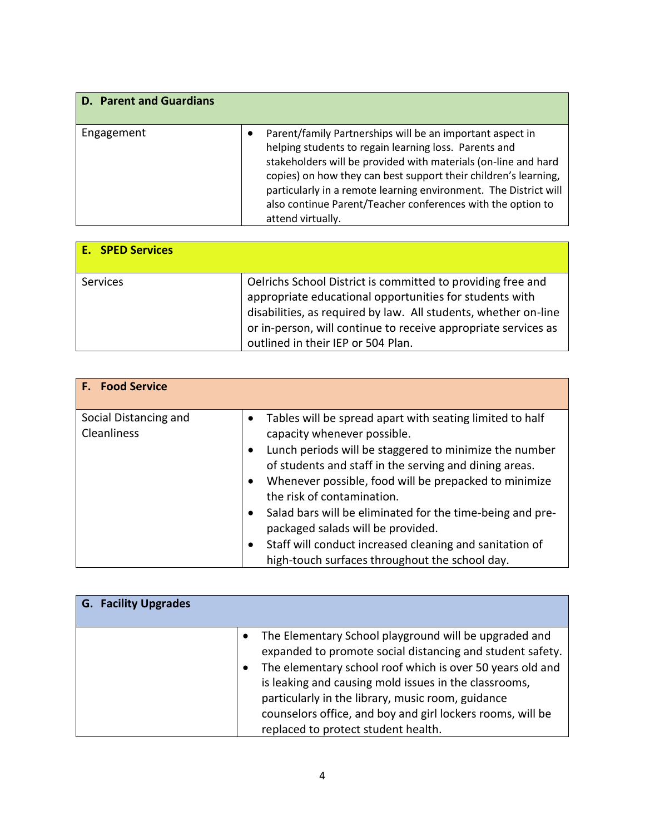| <b>D. Parent and Guardians</b> |                                                                                                                                                                                                                                                                                                                                                                                                                 |
|--------------------------------|-----------------------------------------------------------------------------------------------------------------------------------------------------------------------------------------------------------------------------------------------------------------------------------------------------------------------------------------------------------------------------------------------------------------|
| Engagement                     | Parent/family Partnerships will be an important aspect in<br>helping students to regain learning loss. Parents and<br>stakeholders will be provided with materials (on-line and hard<br>copies) on how they can best support their children's learning,<br>particularly in a remote learning environment. The District will<br>also continue Parent/Teacher conferences with the option to<br>attend virtually. |

| <b>E.</b> SPED Services |                                                                                                                                                                                                                                                                                                   |
|-------------------------|---------------------------------------------------------------------------------------------------------------------------------------------------------------------------------------------------------------------------------------------------------------------------------------------------|
| Services                | Oelrichs School District is committed to providing free and<br>appropriate educational opportunities for students with<br>disabilities, as required by law. All students, whether on-line<br>or in-person, will continue to receive appropriate services as<br>outlined in their IEP or 504 Plan. |

| <b>F.</b> Food Service                      |                                                                                                                                                                                                                                                                                                                                                                                                                                                                                                                                                                            |
|---------------------------------------------|----------------------------------------------------------------------------------------------------------------------------------------------------------------------------------------------------------------------------------------------------------------------------------------------------------------------------------------------------------------------------------------------------------------------------------------------------------------------------------------------------------------------------------------------------------------------------|
| Social Distancing and<br><b>Cleanliness</b> | Tables will be spread apart with seating limited to half<br>٠<br>capacity whenever possible.<br>Lunch periods will be staggered to minimize the number<br>$\bullet$<br>of students and staff in the serving and dining areas.<br>Whenever possible, food will be prepacked to minimize<br>$\bullet$<br>the risk of contamination.<br>Salad bars will be eliminated for the time-being and pre-<br>$\bullet$<br>packaged salads will be provided.<br>Staff will conduct increased cleaning and sanitation of<br>$\bullet$<br>high-touch surfaces throughout the school day. |

| <b>G. Facility Upgrades</b> |                                                                                                                                                                                                                                                                                                                                                                                                    |
|-----------------------------|----------------------------------------------------------------------------------------------------------------------------------------------------------------------------------------------------------------------------------------------------------------------------------------------------------------------------------------------------------------------------------------------------|
|                             | The Elementary School playground will be upgraded and<br>expanded to promote social distancing and student safety.<br>The elementary school roof which is over 50 years old and<br>is leaking and causing mold issues in the classrooms,<br>particularly in the library, music room, guidance<br>counselors office, and boy and girl lockers rooms, will be<br>replaced to protect student health. |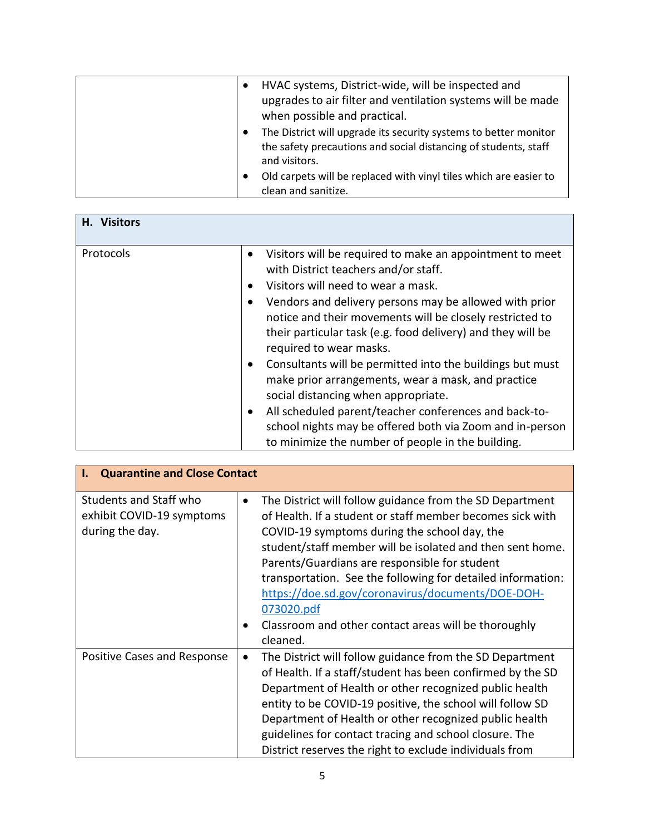| HVAC systems, District-wide, will be inspected and<br>$\bullet$                                                                                      |
|------------------------------------------------------------------------------------------------------------------------------------------------------|
| upgrades to air filter and ventilation systems will be made                                                                                          |
| when possible and practical.                                                                                                                         |
| The District will upgrade its security systems to better monitor<br>the safety precautions and social distancing of students, staff<br>and visitors. |
| Old carpets will be replaced with vinyl tiles which are easier to<br>clean and sanitize.                                                             |

| H. Visitors |                                                                                                                                                                                                                                                                                                                                                                                                                                                                                                                                                                                                                                                                                                                      |
|-------------|----------------------------------------------------------------------------------------------------------------------------------------------------------------------------------------------------------------------------------------------------------------------------------------------------------------------------------------------------------------------------------------------------------------------------------------------------------------------------------------------------------------------------------------------------------------------------------------------------------------------------------------------------------------------------------------------------------------------|
| Protocols   | Visitors will be required to make an appointment to meet<br>with District teachers and/or staff.<br>Visitors will need to wear a mask.<br>Vendors and delivery persons may be allowed with prior<br>notice and their movements will be closely restricted to<br>their particular task (e.g. food delivery) and they will be<br>required to wear masks.<br>Consultants will be permitted into the buildings but must<br>$\bullet$<br>make prior arrangements, wear a mask, and practice<br>social distancing when appropriate.<br>All scheduled parent/teacher conferences and back-to-<br>$\bullet$<br>school nights may be offered both via Zoom and in-person<br>to minimize the number of people in the building. |
|             |                                                                                                                                                                                                                                                                                                                                                                                                                                                                                                                                                                                                                                                                                                                      |

| <b>Quarantine and Close Contact</b><br>Ι.                              |                                                                                                                                                                                                                                                                                                                                                                                                                                                                                                             |
|------------------------------------------------------------------------|-------------------------------------------------------------------------------------------------------------------------------------------------------------------------------------------------------------------------------------------------------------------------------------------------------------------------------------------------------------------------------------------------------------------------------------------------------------------------------------------------------------|
| Students and Staff who<br>exhibit COVID-19 symptoms<br>during the day. | The District will follow guidance from the SD Department<br>$\bullet$<br>of Health. If a student or staff member becomes sick with<br>COVID-19 symptoms during the school day, the<br>student/staff member will be isolated and then sent home.<br>Parents/Guardians are responsible for student<br>transportation. See the following for detailed information:<br>https://doe.sd.gov/coronavirus/documents/DOE-DOH-<br>073020.pdf<br>Classroom and other contact areas will be thoroughly<br>٠<br>cleaned. |
| Positive Cases and Response                                            | The District will follow guidance from the SD Department<br>$\bullet$<br>of Health. If a staff/student has been confirmed by the SD<br>Department of Health or other recognized public health<br>entity to be COVID-19 positive, the school will follow SD<br>Department of Health or other recognized public health<br>guidelines for contact tracing and school closure. The<br>District reserves the right to exclude individuals from                                                                   |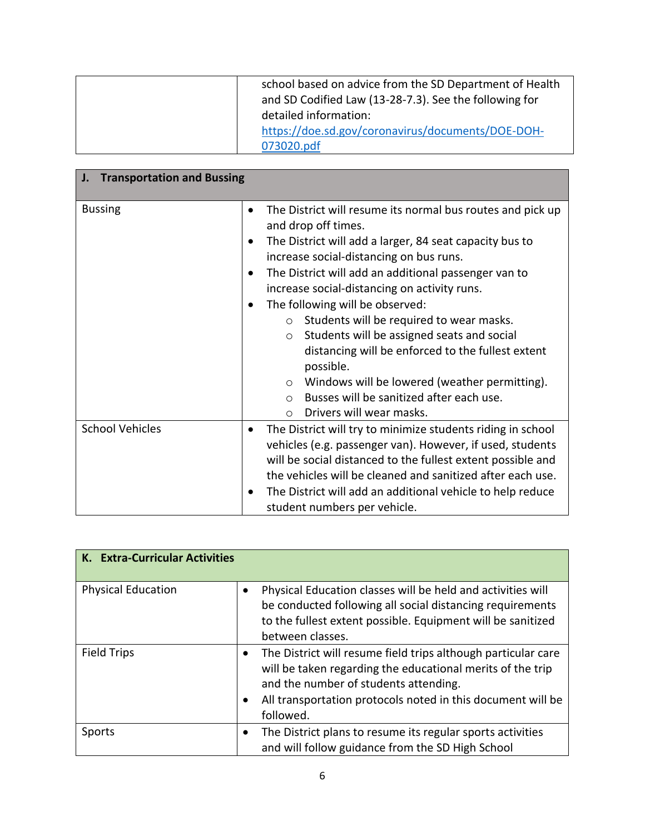| school based on advice from the SD Department of Health<br>and SD Codified Law (13-28-7.3). See the following for<br>detailed information: |
|--------------------------------------------------------------------------------------------------------------------------------------------|
| https://doe.sd.gov/coronavirus/documents/DOE-DOH-<br>073020.pdf                                                                            |

| <b>Transportation and Bussing</b><br>J. |                                                                                                                                                                                                                                                                                                                                                                                                                                                                                                                                                                                                                                                                                                                             |  |
|-----------------------------------------|-----------------------------------------------------------------------------------------------------------------------------------------------------------------------------------------------------------------------------------------------------------------------------------------------------------------------------------------------------------------------------------------------------------------------------------------------------------------------------------------------------------------------------------------------------------------------------------------------------------------------------------------------------------------------------------------------------------------------------|--|
| <b>Bussing</b>                          | The District will resume its normal bus routes and pick up<br>$\bullet$<br>and drop off times.<br>The District will add a larger, 84 seat capacity bus to<br>٠<br>increase social-distancing on bus runs.<br>The District will add an additional passenger van to<br>$\bullet$<br>increase social-distancing on activity runs.<br>The following will be observed:<br>$\bullet$<br>Students will be required to wear masks.<br>$\circ$<br>Students will be assigned seats and social<br>$\circ$<br>distancing will be enforced to the fullest extent<br>possible.<br>Windows will be lowered (weather permitting).<br>$\circ$<br>Busses will be sanitized after each use.<br>$\Omega$<br>Drivers will wear masks.<br>$\circ$ |  |
| <b>School Vehicles</b>                  | The District will try to minimize students riding in school<br>٠<br>vehicles (e.g. passenger van). However, if used, students<br>will be social distanced to the fullest extent possible and<br>the vehicles will be cleaned and sanitized after each use.<br>The District will add an additional vehicle to help reduce<br>$\bullet$<br>student numbers per vehicle.                                                                                                                                                                                                                                                                                                                                                       |  |

| K. Extra-Curricular Activities |                                                                                                                                                                                                                                                                            |
|--------------------------------|----------------------------------------------------------------------------------------------------------------------------------------------------------------------------------------------------------------------------------------------------------------------------|
| <b>Physical Education</b>      | Physical Education classes will be held and activities will<br>be conducted following all social distancing requirements<br>to the fullest extent possible. Equipment will be sanitized<br>between classes.                                                                |
| <b>Field Trips</b>             | The District will resume field trips although particular care<br>$\bullet$<br>will be taken regarding the educational merits of the trip<br>and the number of students attending.<br>All transportation protocols noted in this document will be<br>$\bullet$<br>followed. |
| Sports                         | The District plans to resume its regular sports activities<br>٠<br>and will follow guidance from the SD High School                                                                                                                                                        |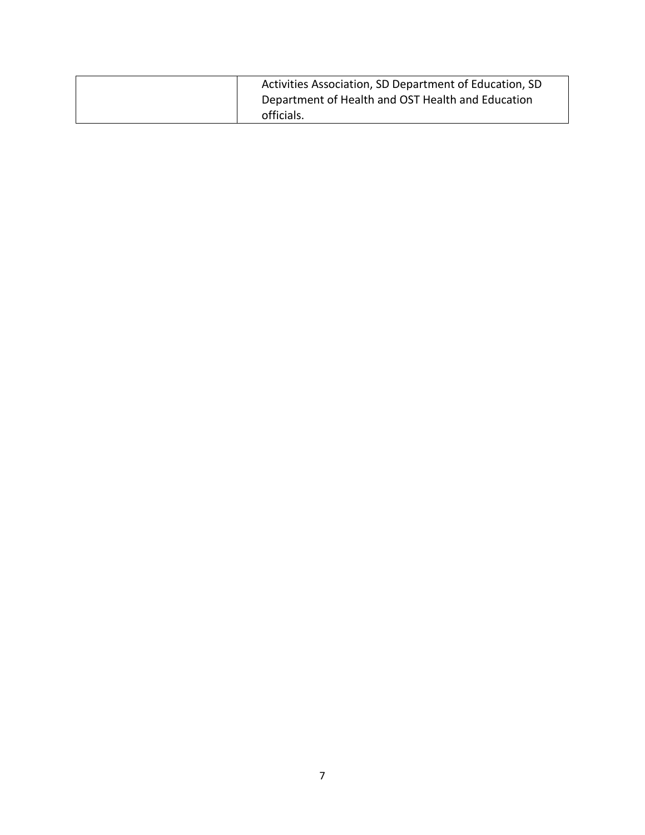| Activities Association, SD Department of Education, SD |
|--------------------------------------------------------|
| Department of Health and OST Health and Education      |
| officials.                                             |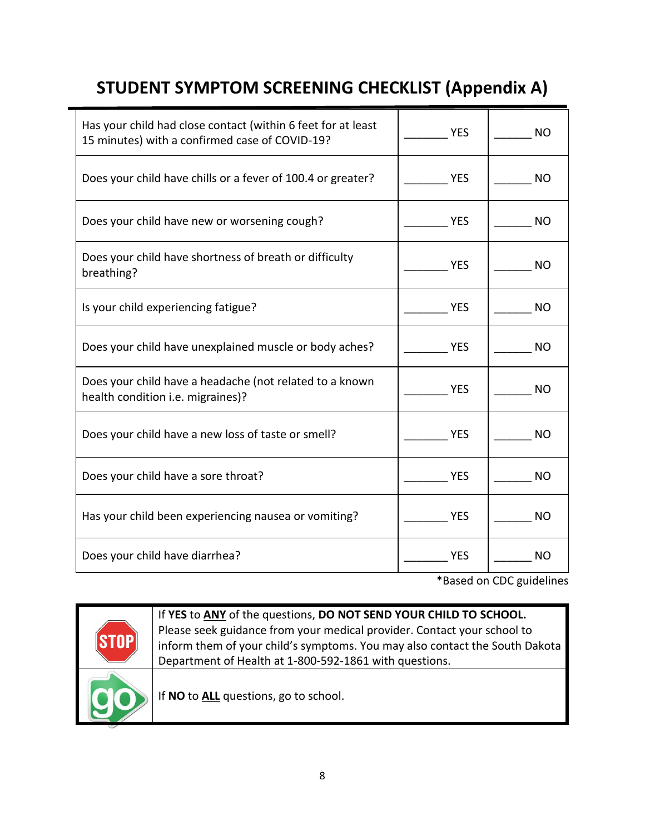## **STUDENT SYMPTOM SCREENING CHECKLIST (Appendix A)**

 $\blacksquare$ 

| Has your child had close contact (within 6 feet for at least<br>15 minutes) with a confirmed case of COVID-19? | <b>YES</b> | NO        |
|----------------------------------------------------------------------------------------------------------------|------------|-----------|
| Does your child have chills or a fever of 100.4 or greater?                                                    | <b>YES</b> | NO.       |
| Does your child have new or worsening cough?                                                                   | <b>YES</b> | NO.       |
| Does your child have shortness of breath or difficulty<br>breathing?                                           | <b>YES</b> | NO.       |
| Is your child experiencing fatigue?                                                                            | <b>YES</b> | NO.       |
| Does your child have unexplained muscle or body aches?                                                         | <b>YES</b> | NO.       |
| Does your child have a headache (not related to a known<br>health condition i.e. migraines)?                   | <b>YES</b> | NO        |
| Does your child have a new loss of taste or smell?                                                             | <b>YES</b> | <b>NO</b> |
| Does your child have a sore throat?                                                                            | <b>YES</b> | NO.       |
| Has your child been experiencing nausea or vomiting?                                                           | <b>YES</b> | NO.       |
| Does your child have diarrhea?                                                                                 | <b>YES</b> | NO        |

\*Based on CDC guidelines

|  | If YES to ANY of the questions, DO NOT SEND YOUR CHILD TO SCHOOL.           |
|--|-----------------------------------------------------------------------------|
|  | Please seek guidance from your medical provider. Contact your school to     |
|  | inform them of your child's symptoms. You may also contact the South Dakota |
|  | Department of Health at 1-800-592-1861 with questions.                      |
|  | If NO to ALL questions, go to school.                                       |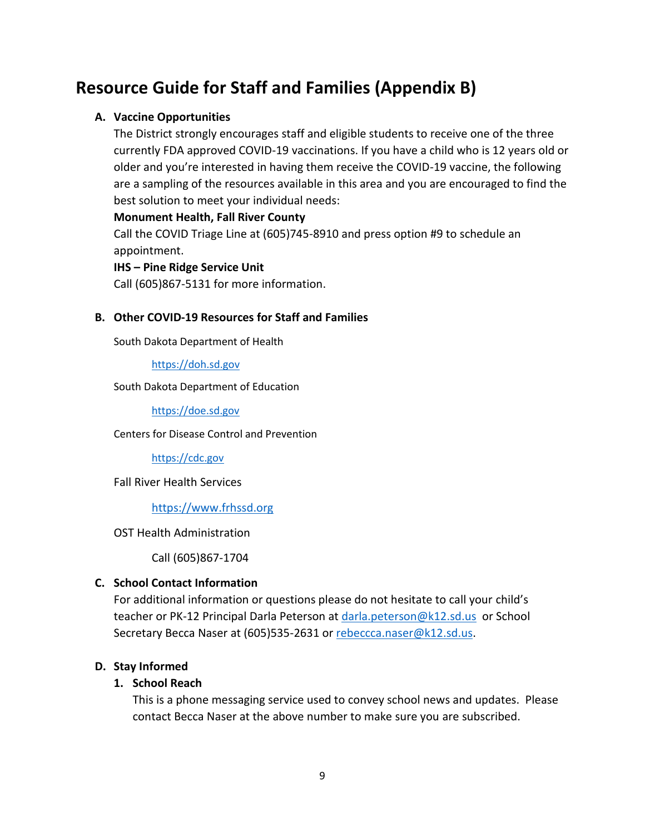### **Resource Guide for Staff and Families (Appendix B)**

#### **A. Vaccine Opportunities**

The District strongly encourages staff and eligible students to receive one of the three currently FDA approved COVID-19 vaccinations. If you have a child who is 12 years old or older and you're interested in having them receive the COVID-19 vaccine, the following are a sampling of the resources available in this area and you are encouraged to find the best solution to meet your individual needs:

#### **Monument Health, Fall River County**

Call the COVID Triage Line at (605)745-8910 and press option #9 to schedule an appointment.

#### **IHS – Pine Ridge Service Unit**

Call (605)867-5131 for more information.

#### **B. Other COVID-19 Resources for Staff and Families**

South Dakota Department of Health

[https://doh.sd.gov](https://doh.sd.gov/)

South Dakota Department of Education

[https://doe.sd.gov](https://doe.sd.gov/)

Centers for Disease Control and Prevention

[https://cdc.gov](https://cdc.gov/)

Fall River Health Services

[https://www.frhssd.org](https://www.frhssd.org/)

OST Health Administration

Call (605)867-1704

#### **C. School Contact Information**

For additional information or questions please do not hesitate to call your child's teacher or PK-12 Principal Darla Peterson at [darla.peterson@k12.sd.us](mailto:darla.peterson@k12.sd.us) or School Secretary Becca Naser at (605)535-2631 or [rebeccca.naser@k12.sd.us.](mailto:rebeccca.naser@k12.sd.us)

#### **D. Stay Informed**

#### **1. School Reach**

This is a phone messaging service used to convey school news and updates. Please contact Becca Naser at the above number to make sure you are subscribed.